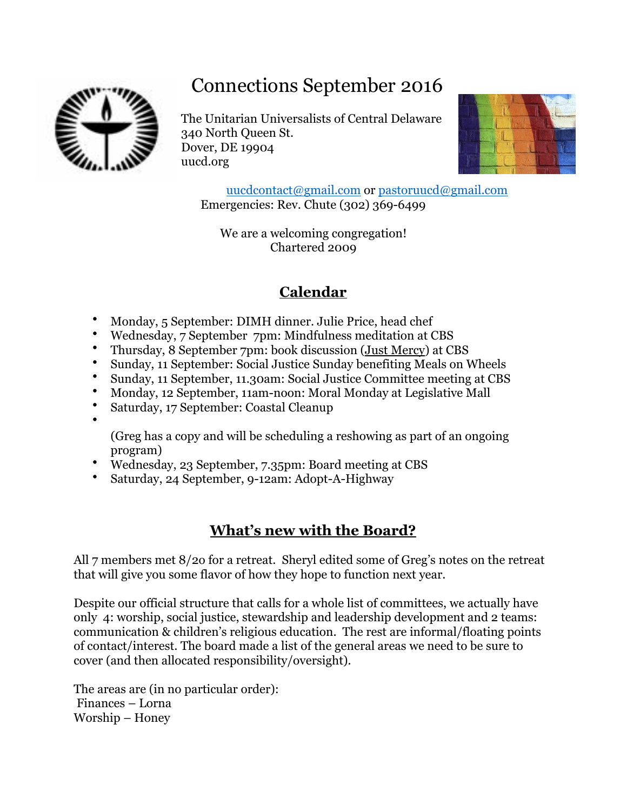# Connections September 2016



•

The Unitarian Universalists of Central Delaware 340 North Queen St. Dover, DE 19904 uucd.org



[uucdcontact@gmail.com](mailto:uucdcontact@gmail.com) or [pastoruucd@gmail.com](mailto:pastoruucd@gmail.com) Emergencies: Rev. Chute (302) 369-6499

We are a welcoming congregation! Chartered 2009

# **Calendar**

- Monday, 5 September: DIMH dinner. Julie Price, head chef
- Wednesday, 7 September 7pm: Mindfulness meditation at CBS
- Thursday, 8 September 7pm: book discussion (Just Mercy) at CBS
- Sunday, 11 September: Social Justice Sunday benefiting Meals on Wheels
- Sunday, 11 September, 11.30am: Social Justice Committee meeting at CBS
- Monday, 12 September, 11am-noon: Moral Monday at Legislative Mall
- Saturday, 17 September: Coastal Cleanup

(Greg has a copy and will be scheduling a reshowing as part of an ongoing program)

- Wednesday, 23 September, 7.35pm: Board meeting at CBS
- Saturday, 24 September, 9-12am: Adopt-A-Highway

## **What's new with the Board?**

All 7 members met 8/2o for a retreat. Sheryl edited some of Greg's notes on the retreat that will give you some flavor of how they hope to function next year.

Despite our official structure that calls for a whole list of committees, we actually have only 4: worship, social justice, stewardship and leadership development and 2 teams: communication & children's religious education. The rest are informal/floating points of contact/interest. The board made a list of the general areas we need to be sure to cover (and then allocated responsibility/oversight).

The areas are (in no particular order): Finances – Lorna Worship – Honey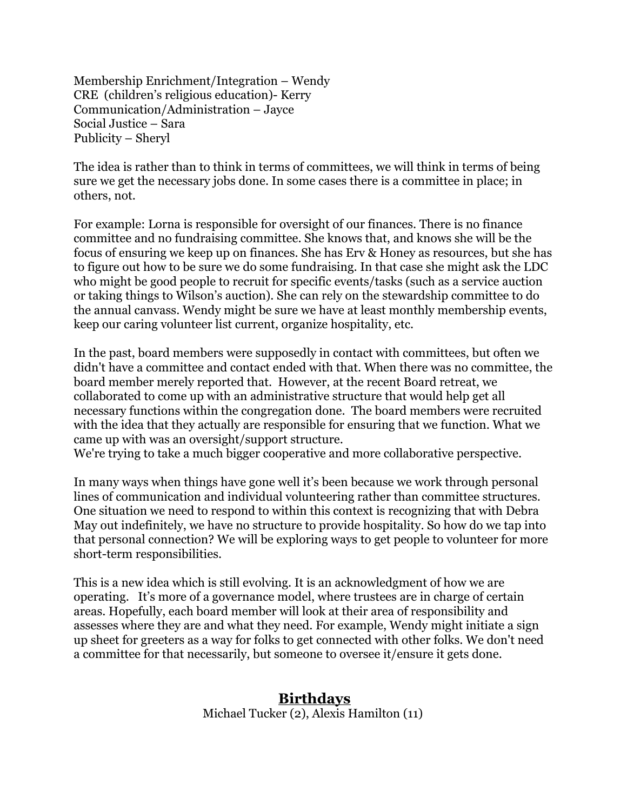Membership Enrichment/Integration – Wendy CRE (children's religious education)- Kerry Communication/Administration – Jayce Social Justice – Sara Publicity – Sheryl

The idea is rather than to think in terms of committees, we will think in terms of being sure we get the necessary jobs done. In some cases there is a committee in place; in others, not.

For example: Lorna is responsible for oversight of our finances. There is no finance committee and no fundraising committee. She knows that, and knows she will be the focus of ensuring we keep up on finances. She has Erv & Honey as resources, but she has to figure out how to be sure we do some fundraising. In that case she might ask the LDC who might be good people to recruit for specific events/tasks (such as a service auction or taking things to Wilson's auction). She can rely on the stewardship committee to do the annual canvass. Wendy might be sure we have at least monthly membership events, keep our caring volunteer list current, organize hospitality, etc.

In the past, board members were supposedly in contact with committees, but often we didn't have a committee and contact ended with that. When there was no committee, the board member merely reported that. However, at the recent Board retreat, we collaborated to come up with an administrative structure that would help get all necessary functions within the congregation done. The board members were recruited with the idea that they actually are responsible for ensuring that we function. What we came up with was an oversight/support structure.

We're trying to take a much bigger cooperative and more collaborative perspective.

In many ways when things have gone well it's been because we work through personal lines of communication and individual volunteering rather than committee structures. One situation we need to respond to within this context is recognizing that with Debra May out indefinitely, we have no structure to provide hospitality. So how do we tap into that personal connection? We will be exploring ways to get people to volunteer for more short-term responsibilities.

This is a new idea which is still evolving. It is an acknowledgment of how we are operating. It's more of a governance model, where trustees are in charge of certain areas. Hopefully, each board member will look at their area of responsibility and assesses where they are and what they need. For example, Wendy might initiate a sign up sheet for greeters as a way for folks to get connected with other folks. We don't need a committee for that necessarily, but someone to oversee it/ensure it gets done.

#### **Birthdays**

Michael Tucker (2), Alexis Hamilton (11)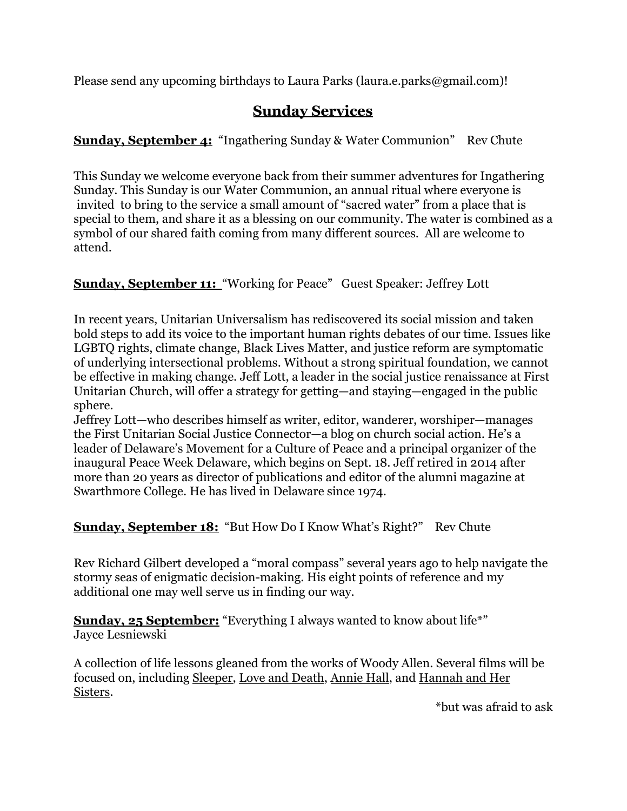Please send any upcoming birthdays to Laura Parks [\(laura.e.parks@gmail.com\)](mailto:laura.e.parks@gmail.com)!

### **Sunday Services**

**<u>Sunday, September 4:</u>** "Ingathering Sunday & Water Communion" Rev Chute

This Sunday we welcome everyone back from their summer adventures for Ingathering Sunday. This Sunday is our Water Communion, an annual ritual where everyone is invited to bring to the service a small amount of "sacred water" from a place that is special to them, and share it as a blessing on our community. The water is combined as a symbol of our shared faith coming from many different sources. All are welcome to attend.

#### **Sunday, September 11:** "Working for Peace" Guest Speaker: Jeffrey Lott

In recent years, Unitarian Universalism has rediscovered its social mission and taken bold steps to add its voice to the important human rights debates of our time. Issues like LGBTQ rights, climate change, Black Lives Matter, and justice reform are symptomatic of underlying intersectional problems. Without a strong spiritual foundation, we cannot be effective in making change. Jeff Lott, a leader in the social justice renaissance at First Unitarian Church, will offer a strategy for getting—and staying—engaged in the public sphere.

Jeffrey Lott—who describes himself as writer, editor, wanderer, worshiper—manages the First Unitarian Social Justice Connector—a blog on church social action. He's a leader of Delaware's Movement for a Culture of Peace and a principal organizer of the inaugural Peace Week Delaware, which begins on Sept. 18. Jeff retired in 2014 after more than 20 years as director of publications and editor of the alumni magazine at Swarthmore College. He has lived in Delaware since 1974.

#### **Sunday, September 18:** "But How Do I Know What's Right?" Rev Chute

Rev Richard Gilbert developed a "moral compass" several years ago to help navigate the stormy seas of enigmatic decision-making. His eight points of reference and my additional one may well serve us in finding our way.

**Sunday, 25 September:** "Everything I always wanted to know about life<sup>\*"</sup> Jayce Lesniewski

A collection of life lessons gleaned from the works of Woody Allen. Several films will be focused on, including Sleeper, Love and Death, Annie Hall, and Hannah and Her Sisters.

\*but was afraid to ask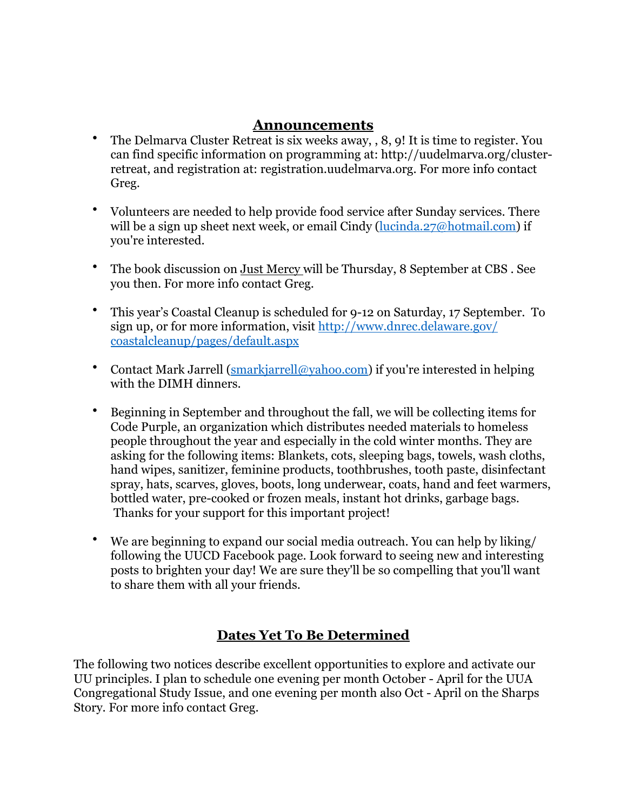#### **Announcements**

- The Delmarva Cluster Retreat is six weeks away, , 8, 9! It is time to register. You can find specific information on programming at: [http://uudelmarva.org/cluster](http://uudelmarva.org/cluster-retreat)[retreat,](http://uudelmarva.org/cluster-retreat) and registration at: [registration.uudelmarva.org.](http://registration.uudelmarva.org/) For more info contact Greg.
- Volunteers are needed to help provide food service after Sunday services. There will be a sign up sheet next week, or email Cindy ([lucinda.27@hotmail.com](mailto:lucinda.27@hotmail.com)) if you're interested.
- The book discussion on Just Mercy will be Thursday, 8 September at CBS . See you then. For more info contact Greg.
- This year's Coastal Cleanup is scheduled for 9-12 on Saturday, 17 September. To sign up, or for more information, visit [http://www.dnrec.delaware.gov/](http://www.dnrec.delaware.gov/coastalcleanup/pages/default.aspx) [coastalcleanup/pages/default.aspx](http://www.dnrec.delaware.gov/coastalcleanup/pages/default.aspx)
- Contact Mark Jarrell ([smarkjarrell@yahoo.com](mailto:smarkjarrell@yahoo.com)) if you're interested in helping with the DIMH dinners.
- Beginning in September and throughout the fall, we will be collecting items for Code Purple, an organization which distributes needed materials to homeless people throughout the year and especially in the cold winter months. They are asking for the following items: Blankets, cots, sleeping bags, towels, wash cloths, hand wipes, sanitizer, feminine products, toothbrushes, tooth paste, disinfectant spray, hats, scarves, gloves, boots, long underwear, coats, hand and feet warmers, bottled water, pre-cooked or frozen meals, instant hot drinks, garbage bags. Thanks for your support for this important project!
- We are beginning to expand our social media outreach. You can help by liking/ following the UUCD Facebook page. Look forward to seeing new and interesting posts to brighten your day! We are sure they'll be so compelling that you'll want to share them with all your friends.

#### **Dates Yet To Be Determined**

The following two notices describe excellent opportunities to explore and activate our UU principles. I plan to schedule one evening per month October - April for the UUA Congregational Study Issue, and one evening per month also Oct - April on the Sharps Story. For more info contact Greg.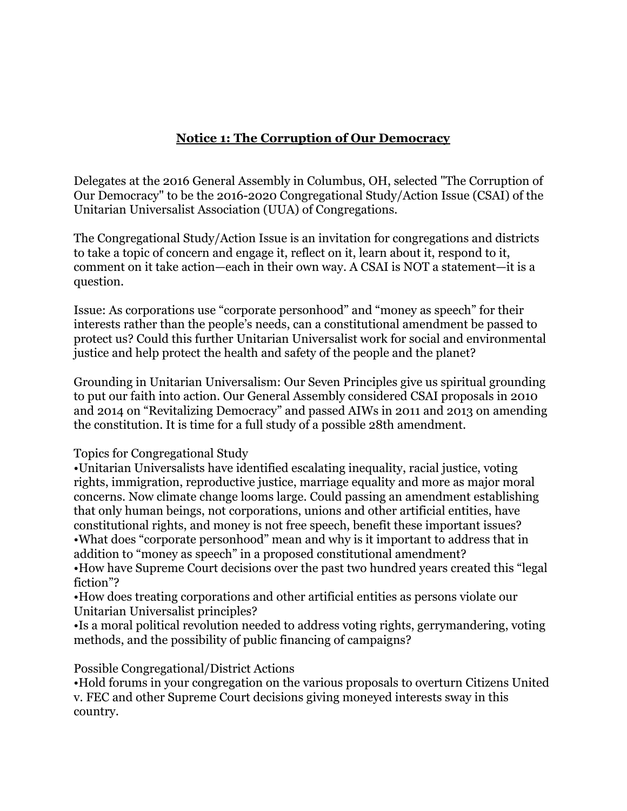#### **Notice 1: The Corruption of Our Democracy**

Delegates at the 2016 General Assembly in Columbus, OH, selected "The Corruption of Our Democracy" to be the 2016-2020 Congregational Study/Action Issue (CSAI) of the Unitarian Universalist Association (UUA) of Congregations.

The Congregational Study/Action Issue is an invitation for congregations and districts to take a topic of concern and engage it, reflect on it, learn about it, respond to it, comment on it take action—each in their own way. A CSAI is NOT a statement—it is a question.

Issue: As corporations use "corporate personhood" and "money as speech" for their interests rather than the people's needs, can a constitutional amendment be passed to protect us? Could this further Unitarian Universalist work for social and environmental justice and help protect the health and safety of the people and the planet?

Grounding in Unitarian Universalism: Our Seven Principles give us spiritual grounding to put our faith into action. Our General Assembly considered CSAI proposals in 2010 and 2014 on "Revitalizing Democracy" and passed AIWs in 2011 and 2013 on amending the constitution. It is time for a full study of a possible 28th amendment.

Topics for Congregational Study

•Unitarian Universalists have identified escalating inequality, racial justice, voting rights, immigration, reproductive justice, marriage equality and more as major moral concerns. Now climate change looms large. Could passing an amendment establishing that only human beings, not corporations, unions and other artificial entities, have constitutional rights, and money is not free speech, benefit these important issues? •What does "corporate personhood" mean and why is it important to address that in addition to "money as speech" in a proposed constitutional amendment? •How have Supreme Court decisions over the past two hundred years created this "legal fiction"?

•How does treating corporations and other artificial entities as persons violate our Unitarian Universalist principles?

•Is a moral political revolution needed to address voting rights, gerrymandering, voting methods, and the possibility of public financing of campaigns?

Possible Congregational/District Actions

•Hold forums in your congregation on the various proposals to overturn Citizens United v. FEC and other Supreme Court decisions giving moneyed interests sway in this country.